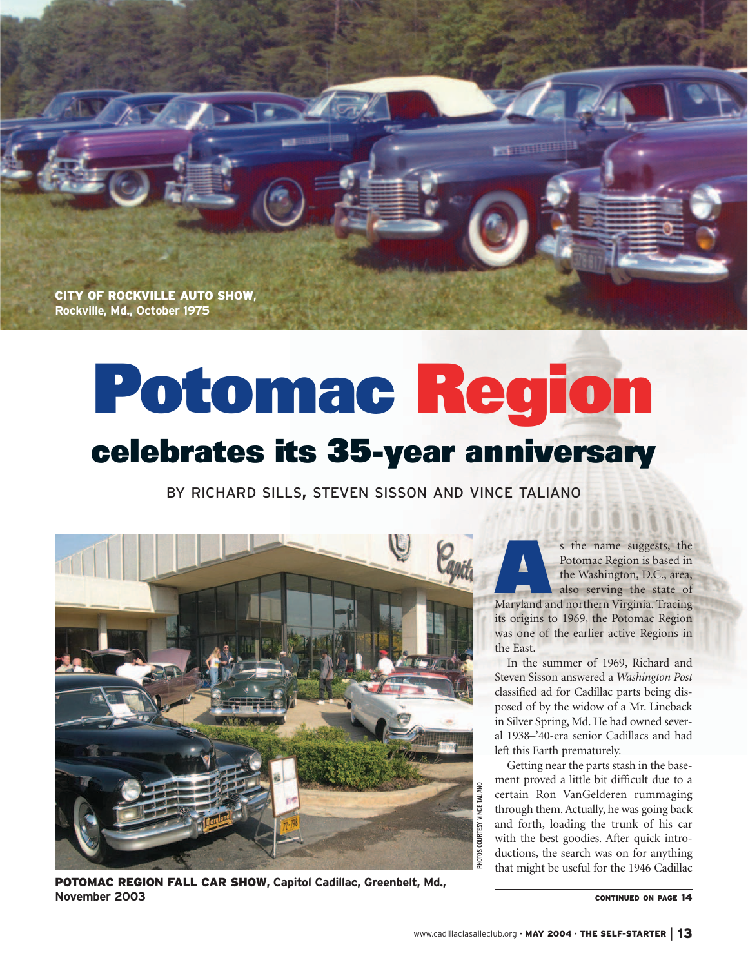CITY OF ROCKVILLE AUTO SHOW**, Rockville, Md., October 1975**

# Potomac Region celebrates its 35-year anniversary

BY RICHARD SILLS, STEVEN SISSON AND VINCE TALIANO



POTOMAC REGION FALL CAR SHOW**, Capitol Cadillac, Greenbelt, Md., November 2003**

s the name suggests, the<br>
Potomac Region is based in<br>
the Washington, D.C., area,<br>
also serving the state of<br>
Maryland and northern Virginia. Tracing Potomac Region is based in the Washington, D.C., area, also serving the state of

its origins to 1969, the Potomac Region was one of the earlier active Regions in the East.

In the summer of 1969, Richard and Steven Sisson answered a *Washington Post* classified ad for Cadillac parts being disposed of by the widow of a Mr. Lineback in Silver Spring, Md. He had owned several 1938–'40-era senior Cadillacs and had left this Earth prematurely.

Getting near the parts stash in the basement proved a little bit difficult due to a certain Ron VanGelderen rummaging through them. Actually, he was going back and forth, loading the trunk of his car with the best goodies. After quick introductions, the search was on for anything that might be useful for the 1946 Cadillac

CONTINUED ON PAGE 14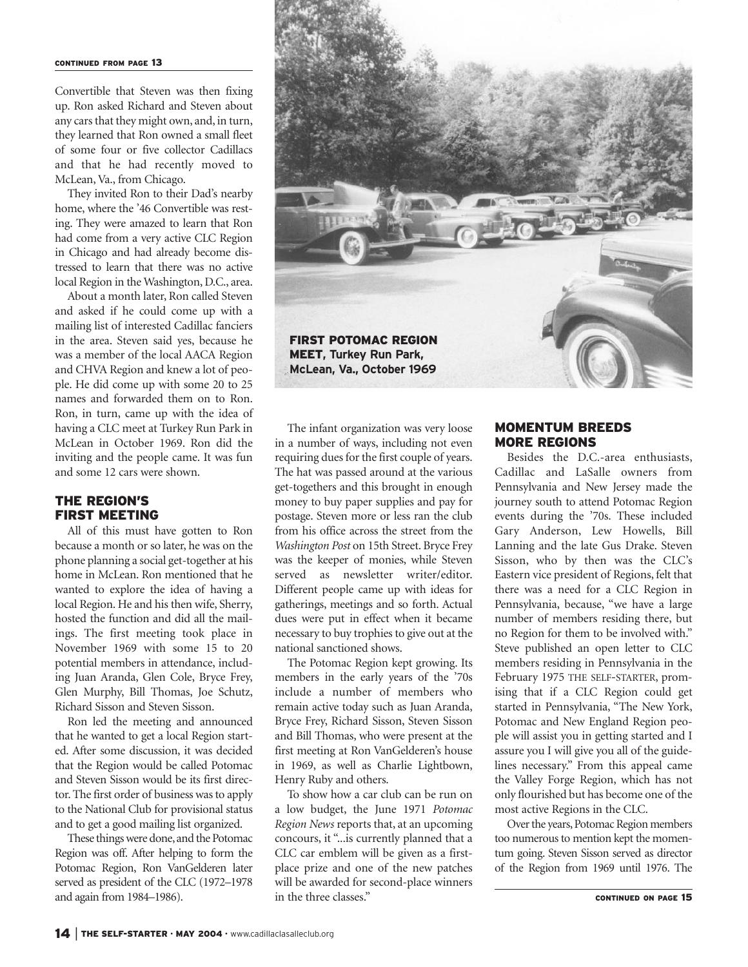#### CONTINUED FROM PAGE 13

Convertible that Steven was then fixing up. Ron asked Richard and Steven about any cars that they might own, and, in turn, they learned that Ron owned a small fleet of some four or five collector Cadillacs and that he had recently moved to McLean, Va., from Chicago.

They invited Ron to their Dad's nearby home, where the '46 Convertible was resting. They were amazed to learn that Ron had come from a very active CLC Region in Chicago and had already become distressed to learn that there was no active local Region in the Washington, D.C., area.

About a month later, Ron called Steven and asked if he could come up with a mailing list of interested Cadillac fanciers in the area. Steven said yes, because he was a member of the local AACA Region and CHVA Region and knew a lot of people. He did come up with some 20 to 25 names and forwarded them on to Ron. Ron, in turn, came up with the idea of having a CLC meet at Turkey Run Park in McLean in October 1969. Ron did the inviting and the people came. It was fun and some 12 cars were shown.

## THE REGION'S FIRST MEETING

All of this must have gotten to Ron because a month or so later, he was on the phone planning a social get-together at his home in McLean. Ron mentioned that he wanted to explore the idea of having a local Region. He and his then wife, Sherry, hosted the function and did all the mailings. The first meeting took place in November 1969 with some 15 to 20 potential members in attendance, including Juan Aranda, Glen Cole, Bryce Frey, Glen Murphy, Bill Thomas, Joe Schutz, Richard Sisson and Steven Sisson.

Ron led the meeting and announced that he wanted to get a local Region started. After some discussion, it was decided that the Region would be called Potomac and Steven Sisson would be its first director.The first order of business was to apply to the National Club for provisional status and to get a good mailing list organized.

These things were done, and the Potomac Region was off. After helping to form the Potomac Region, Ron VanGelderen later served as president of the CLC (1972–1978 and again from 1984–1986).



The infant organization was very loose in a number of ways, including not even requiring dues for the first couple of years. The hat was passed around at the various get-togethers and this brought in enough money to buy paper supplies and pay for postage. Steven more or less ran the club from his office across the street from the *Washington Post* on 15th Street. Bryce Frey was the keeper of monies, while Steven served as newsletter writer/editor. Different people came up with ideas for gatherings, meetings and so forth. Actual dues were put in effect when it became necessary to buy trophies to give out at the national sanctioned shows.

The Potomac Region kept growing. Its members in the early years of the '70s include a number of members who remain active today such as Juan Aranda, Bryce Frey, Richard Sisson, Steven Sisson and Bill Thomas, who were present at the first meeting at Ron VanGelderen's house in 1969, as well as Charlie Lightbown, Henry Ruby and others.

To show how a car club can be run on a low budget, the June 1971 *Potomac Region News* reports that, at an upcoming concours, it "...is currently planned that a CLC car emblem will be given as a firstplace prize and one of the new patches will be awarded for second-place winners in the three classes."

#### MOMENTUM BREEDS MORE REGIONS

Besides the D.C.-area enthusiasts, Cadillac and LaSalle owners from Pennsylvania and New Jersey made the journey south to attend Potomac Region events during the '70s. These included Gary Anderson, Lew Howells, Bill Lanning and the late Gus Drake. Steven Sisson, who by then was the CLC's Eastern vice president of Regions, felt that there was a need for a CLC Region in Pennsylvania, because, "we have a large number of members residing there, but no Region for them to be involved with." Steve published an open letter to CLC members residing in Pennsylvania in the February 1975 THE SELF-STARTER, promising that if a CLC Region could get started in Pennsylvania, "The New York, Potomac and New England Region people will assist you in getting started and I assure you I will give you all of the guidelines necessary." From this appeal came the Valley Forge Region, which has not only flourished but has become one of the most active Regions in the CLC.

Over the years, Potomac Region members too numerous to mention kept the momentum going. Steven Sisson served as director of the Region from 1969 until 1976. The